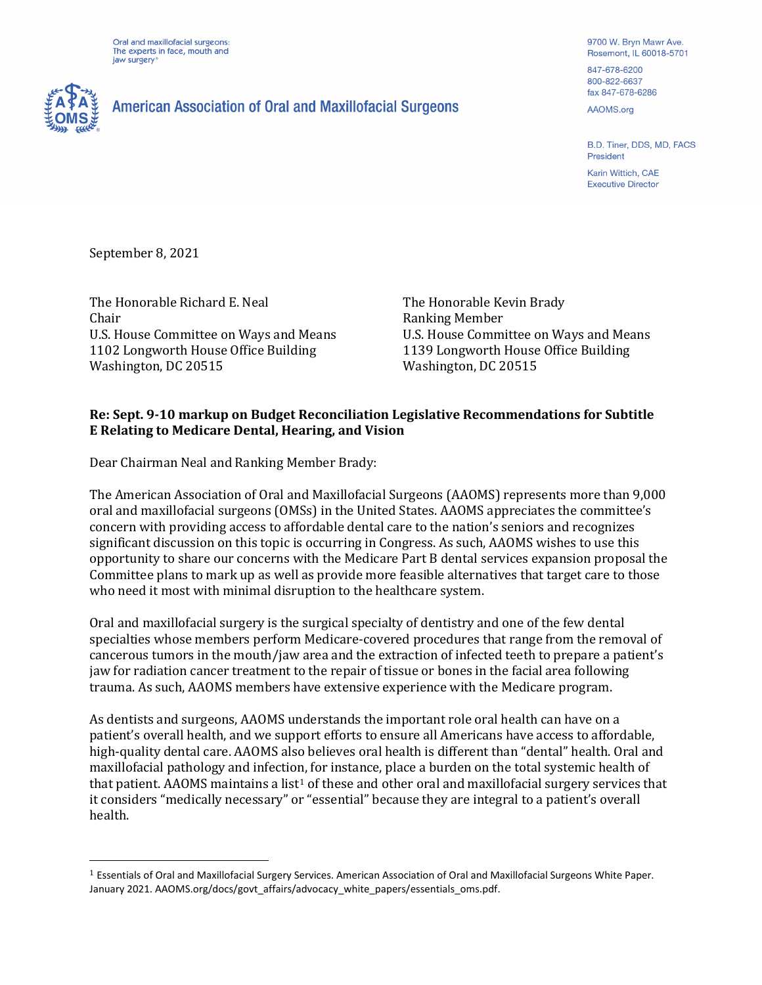Oral and maxillofacial surgeons: The experts in face, mouth and jaw surgery



## **American Association of Oral and Maxillofacial Surgeons**

9700 W. Bryn Mawr Ave. Rosemont, IL 60018-5701 847-678-6200

800-822-6637 fax 847-678-6286

AAOMS.org

B.D. Tiner, DDS, MD, FACS President

Karin Wittich, CAE **Executive Director** 

September 8, 2021

The Honorable Richard E. Neal Chair U.S. House Committee on Ways and Means 1102 Longworth House Office Building Washington, DC 20515

The Honorable Kevin Brady Ranking Member U.S. House Committee on Ways and Means 1139 Longworth House Office Building Washington, DC 20515

## **Re: Sept. 9-10 markup on Budget Reconciliation Legislative Recommendations for Subtitle E Relating to Medicare Dental, Hearing, and Vision**

Dear Chairman Neal and Ranking Member Brady:

The American Association of Oral and Maxillofacial Surgeons (AAOMS) represents more than 9,000 oral and maxillofacial surgeons (OMSs) in the United States. AAOMS appreciates the committee's concern with providing access to affordable dental care to the nation's seniors and recognizes significant discussion on this topic is occurring in Congress. As such, AAOMS wishes to use this opportunity to share our concerns with the Medicare Part B dental services expansion proposal the Committee plans to mark up as well as provide more feasible alternatives that target care to those who need it most with minimal disruption to the healthcare system.

Oral and maxillofacial surgery is the surgical specialty of dentistry and one of the few dental specialties whose members perform Medicare-covered procedures that range from the removal of cancerous tumors in the mouth/jaw area and the extraction of infected teeth to prepare a patient's jaw for radiation cancer treatment to the repair of tissue or bones in the facial area following trauma. As such, AAOMS members have extensive experience with the Medicare program.

As dentists and surgeons, AAOMS understands the important role oral health can have on a patient's overall health, and we support efforts to ensure all Americans have access to affordable, high-quality dental care. AAOMS also believes oral health is different than "dental" health. Oral and maxillofacial pathology and infection, for instance, place a burden on the total systemic health of that patient. AAOMS maintains a list<sup>[1](#page-0-0)</sup> of these and other oral and maxillofacial surgery services that it considers "medically necessary" or "essential" because they are integral to a patient's overall health.

<span id="page-0-0"></span><sup>1</sup> Essentials of Oral and Maxillofacial Surgery Services. American Association of Oral and Maxillofacial Surgeons White Paper. January 2021. AAOMS.org/docs/govt\_affairs/advocacy\_white\_papers/essentials\_oms.pdf.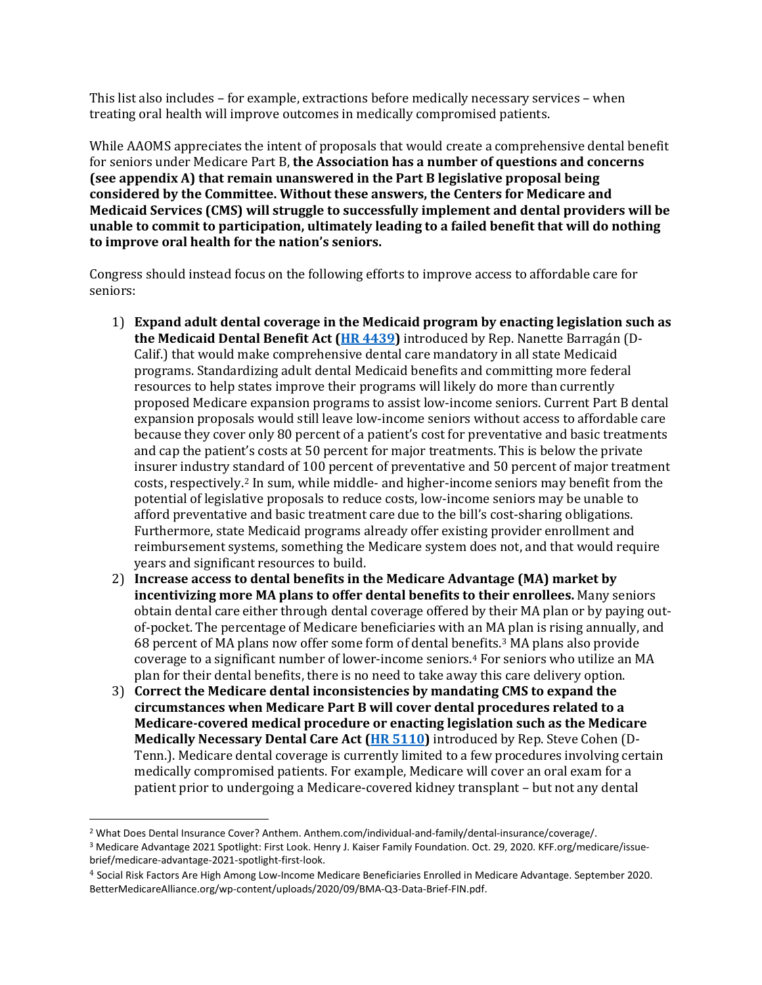This list also includes – for example, extractions before medically necessary services – when treating oral health will improve outcomes in medically compromised patients.

While AAOMS appreciates the intent of proposals that would create a comprehensive dental benefit for seniors under Medicare Part B, **the Association has a number of questions and concerns (see appendix A) that remain unanswered in the Part B legislative proposal being considered by the Committee. Without these answers, the Centers for Medicare and Medicaid Services (CMS) will struggle to successfully implement and dental providers will be unable to commit to participation, ultimately leading to a failed benefit that will do nothing to improve oral health for the nation's seniors.**

Congress should instead focus on the following efforts to improve access to affordable care for seniors:

- 1) **Expand adult dental coverage in the Medicaid program by enacting legislation such as the Medicaid Dental Benefit Act [\(HR 4439\)](https://barragan.house.gov/wp-content/uploads/2021/07/Medicaid-Dental-Benefit-Act-FINAL_xml.pdf)** introduced by Rep. Nanette Barragán (D-Calif.) that would make comprehensive dental care mandatory in all state Medicaid programs. Standardizing adult dental Medicaid benefits and committing more federal resources to help states improve their programs will likely do more than currently proposed Medicare expansion programs to assist low-income seniors. Current Part B dental expansion proposals would still leave low-income seniors without access to affordable care because they cover only 80 percent of a patient's cost for preventative and basic treatments and cap the patient's costs at 50 percent for major treatments. This is below the private insurer industry standard of 100 percent of preventative and 50 percent of major treatment costs, respectively.[2](#page-1-0) In sum, while middle- and higher-income seniors may benefit from the potential of legislative proposals to reduce costs, low-income seniors may be unable to afford preventative and basic treatment care due to the bill's cost-sharing obligations. Furthermore, state Medicaid programs already offer existing provider enrollment and reimbursement systems, something the Medicare system does not, and that would require years and significant resources to build.
- 2) **Increase access to dental benefits in the Medicare Advantage (MA) market by incentivizing more MA plans to offer dental benefits to their enrollees.** Many seniors obtain dental care either through dental coverage offered by their MA plan or by paying outof-pocket. The percentage of Medicare beneficiaries with an MA plan is rising annually, and 68 percent of MA plans now offer some form of dental benefits.[3](#page-1-1) MA plans also provide coverage to a significant number of lower-income seniors.[4](#page-1-2) For seniors who utilize an MA plan for their dental benefits, there is no need to take away this care delivery option.
- 3) **Correct the Medicare dental inconsistencies by mandating CMS to expand the circumstances when Medicare Part B will cover dental procedures related to a Medicare-covered medical procedure or enacting legislation such as the Medicare Medically Necessary Dental Care Act [\(HR 5110\)](https://www.congress.gov/bill/117th-congress/house-bill/5110?q=%7B%22search%22%3A%5B%22Medically+Necessary+dental+care+act+cohen%22%5D%7D&s=3&r=1)** introduced by Rep. Steve Cohen (D-Tenn.). Medicare dental coverage is currently limited to a few procedures involving certain medically compromised patients. For example, Medicare will cover an oral exam for a patient prior to undergoing a Medicare-covered kidney transplant – but not any dental

<span id="page-1-0"></span><sup>&</sup>lt;sup>2</sup> What Does Dental Insurance Cover? Anthem. Anthem.com/individual-and-family/dental-insurance/coverage/.

<span id="page-1-1"></span><sup>3</sup> Medicare Advantage 2021 Spotlight: First Look. Henry J. Kaiser Family Foundation. Oct. 29, 2020. KFF.org/medicare/issuebrief/medicare-advantage-2021-spotlight-first-look.

<span id="page-1-2"></span><sup>4</sup> Social Risk Factors Are High Among Low-Income Medicare Beneficiaries Enrolled in Medicare Advantage. September 2020. [BetterMedicareAlliance.org/wp-content/uploads/2020/09/BMA-Q3-Data-Brief-FIN.pdf.](https://bettermedicarealliance.org/wp-content/uploads/2020/09/BMA-Q3-Data-Brief-FIN.pdf)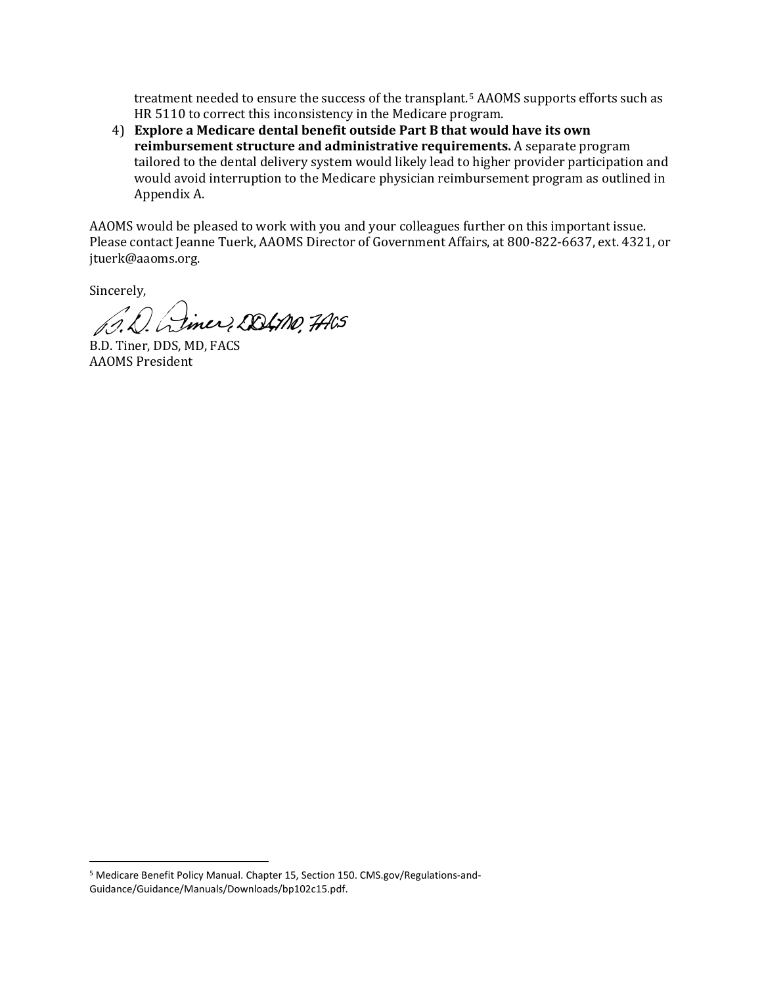treatment needed to ensure the success of the transplant.[5](#page-2-0) AAOMS supports efforts such as HR 5110 to correct this inconsistency in the Medicare program.

4) **Explore a Medicare dental benefit outside Part B that would have its own reimbursement structure and administrative requirements.** A separate program tailored to the dental delivery system would likely lead to higher provider participation and would avoid interruption to the Medicare physician reimbursement program as outlined in Appendix A.

AAOMS would be pleased to work with you and your colleagues further on this important issue. Please contact Jeanne Tuerk, AAOMS Director of Government Affairs, at 800-822-6637, ext. 4321, or jtuerk@aaoms.org.

Sincerely,

De Linez DOLMO, 7AGS

B.D. Tiner, DDS, MD, FACS AAOMS President

<span id="page-2-0"></span><sup>5</sup> Medicare Benefit Policy Manual. Chapter 15, Section 150[. CMS.gov/Regulations-and-](http://www.cms.gov/Regulations-and-Guidance/Guidance/Manuals/Downloads/bp102c15.pdf)[Guidance/Guidance/Manuals/Downloads/bp102c15.pdf.](http://www.cms.gov/Regulations-and-Guidance/Guidance/Manuals/Downloads/bp102c15.pdf)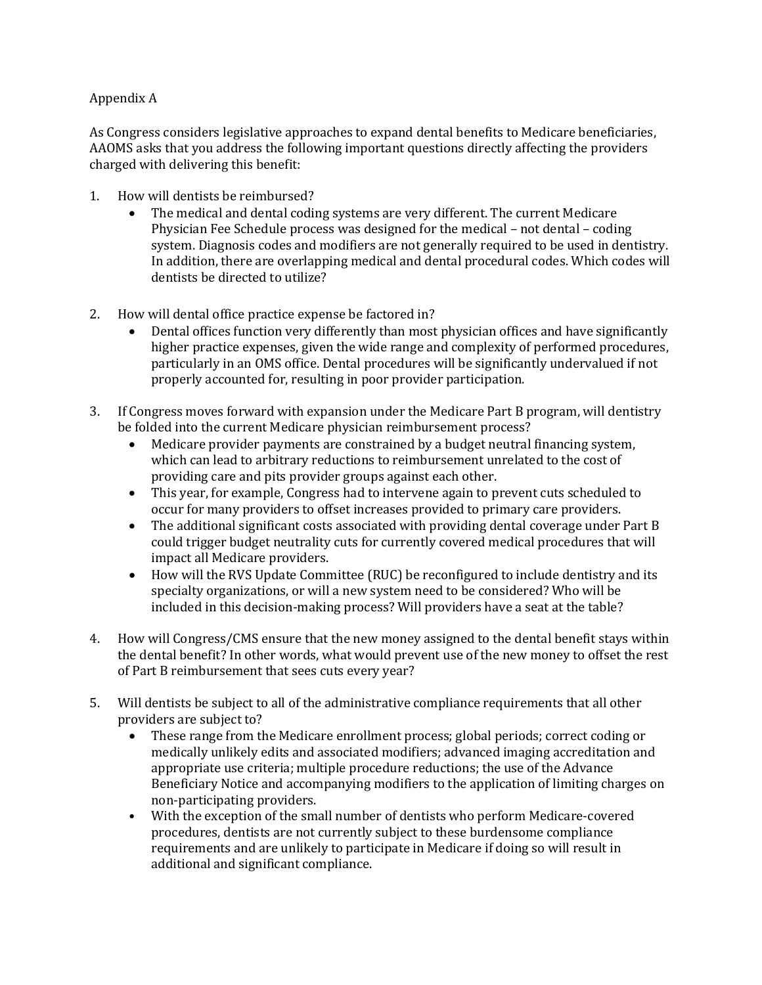## Appendix A

As Congress considers legislative approaches to expand dental benefits to Medicare beneficiaries, AAOMS asks that you address the following important questions directly affecting the providers charged with delivering this benefit:

- 1. How will dentists be reimbursed?
	- The medical and dental coding systems are very different. The current Medicare Physician Fee Schedule process was designed for the medical – not dental – coding system. Diagnosis codes and modifiers are not generally required to be used in dentistry. In addition, there are overlapping medical and dental procedural codes. Which codes will dentists be directed to utilize?
- 2. How will dental office practice expense be factored in?
	- Dental offices function very differently than most physician offices and have significantly higher practice expenses, given the wide range and complexity of performed procedures, particularly in an OMS office. Dental procedures will be significantly undervalued if not properly accounted for, resulting in poor provider participation.
- 3. If Congress moves forward with expansion under the Medicare Part B program, will dentistry be folded into the current Medicare physician reimbursement process?
	- Medicare provider payments are constrained by a budget neutral financing system, which can lead to arbitrary reductions to reimbursement unrelated to the cost of providing care and pits provider groups against each other.
	- This year, for example, Congress had to intervene again to prevent cuts scheduled to occur for many providers to offset increases provided to primary care providers.
	- The additional significant costs associated with providing dental coverage under Part B could trigger budget neutrality cuts for currently covered medical procedures that will impact all Medicare providers.
	- How will the RVS Update Committee (RUC) be reconfigured to include dentistry and its specialty organizations, or will a new system need to be considered? Who will be included in this decision-making process? Will providers have a seat at the table?
- 4. How will Congress/CMS ensure that the new money assigned to the dental benefit stays within the dental benefit? In other words, what would prevent use of the new money to offset the rest of Part B reimbursement that sees cuts every year?
- 5. Will dentists be subject to all of the administrative compliance requirements that all other providers are subject to?<br>• These range from the
	- These range from the Medicare enrollment process; global periods; correct coding or medically unlikely edits and associated modifiers; advanced imaging accreditation and appropriate use criteria; multiple procedure reductions; the use of the Advance Beneficiary Notice and accompanying modifiers to the application of limiting charges on non-participating providers.
	- With the exception of the small number of dentists who perform Medicare-covered procedures, dentists are not currently subject to these burdensome compliance requirements and are unlikely to participate in Medicare if doing so will result in additional and significant compliance.